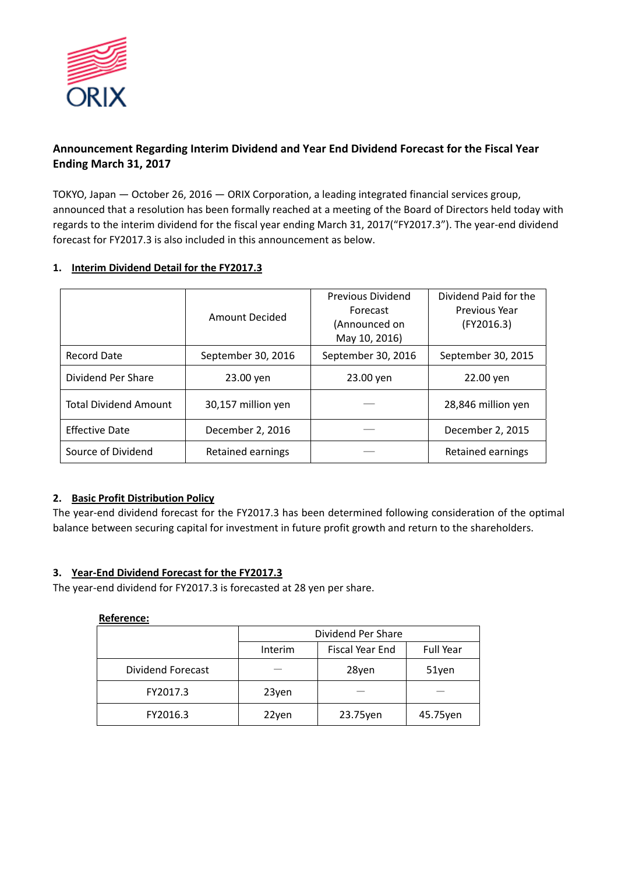

# **Announcement Regarding Interim Dividend and Year End Dividend Forecast for the Fiscal Year Ending March 31, 2017**

TOKYO, Japan — October 26, 2016 — ORIX Corporation, a leading integrated financial services group, announced that a resolution has been formally reached at a meeting of the Board of Directors held today with regards to the interim dividend for the fiscal year ending March 31, 2017("FY2017.3"). The year-end dividend forecast for FY2017.3 is also included in this announcement as below.

## **1. Interim Dividend Detail for the FY2017.3**

|                              | Amount Decided     | Previous Dividend<br>Forecast<br>(Announced on<br>May 10, 2016) | Dividend Paid for the<br>Previous Year<br>(FY2016.3) |
|------------------------------|--------------------|-----------------------------------------------------------------|------------------------------------------------------|
| Record Date                  | September 30, 2016 | September 30, 2016                                              | September 30, 2015                                   |
| Dividend Per Share           | 23.00 yen          | 23.00 yen                                                       | 22.00 yen                                            |
| <b>Total Dividend Amount</b> | 30,157 million yen |                                                                 | 28,846 million yen                                   |
| <b>Effective Date</b>        | December 2, 2016   |                                                                 | December 2, 2015                                     |
| Source of Dividend           | Retained earnings  |                                                                 | Retained earnings                                    |

### **2. Basic Profit Distribution Policy**

The year-end dividend forecast for the FY2017.3 has been determined following consideration of the optimal balance between securing capital for investment in future profit growth and return to the shareholders.

### **3. Year-End Dividend Forecast for the FY2017.3**

The year-end dividend for FY2017.3 is forecasted at 28 yen per share.

### **Reference:**

|                   | Dividend Per Share |                 |           |
|-------------------|--------------------|-----------------|-----------|
|                   | Interim            | Fiscal Year End | Full Year |
| Dividend Forecast |                    | 28yen           | 51yen     |
| FY2017.3          | 23yen              |                 |           |
| FY2016.3          | 22yen              | 23.75yen        | 45.75yen  |